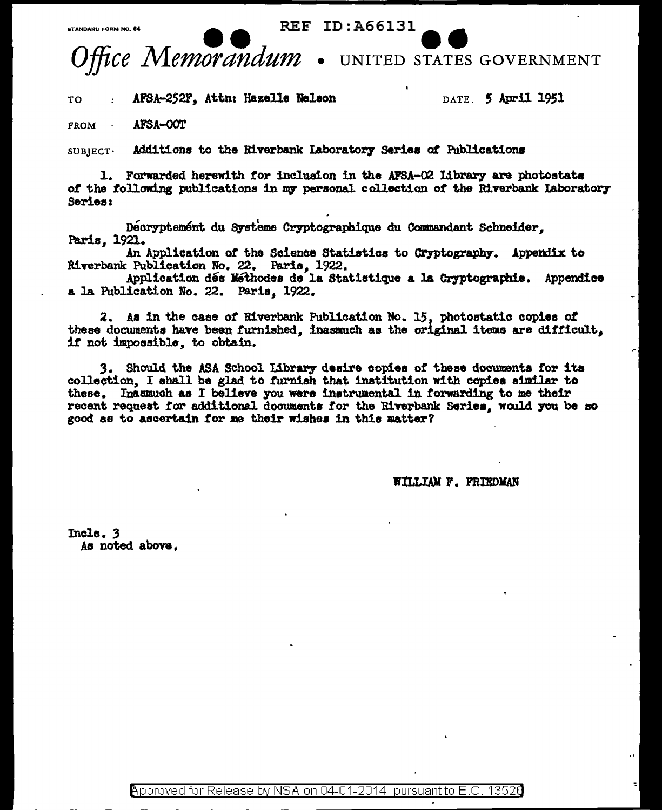**REF ID:A66131** 



AFSA-252F, Attn: Hazelle Nelson TO

DATE. 5 April 1951

**FROM** AFSA-COT

**CTANDARD FORM NO 64** 

Additions to the Riverbank Laboratory Series of Publications  $SUBIECT$ 

1. Forwarded herewith for inclusion in the AFSA-O2 Library are photostats of the following publications in my personal collection of the Riverbank Laboratory Series:

Decryptement du Systeme Cryptographique du Commandant Schneider. Paris. 1921.

An Application of the Science Statistics to Cryptography. Appendix to Riverbank Publication No. 22. Paris, 1922.

Application dés Méthodes de la Statistique a la Cryptographie. Appendice a la Publication No. 22. Paris, 1922.

2. As in the case of Riverbank Publication No. 15, photostatic copies of these documents have been furnished, inasmuch as the original items are difficult, if not impossible, to obtain.

3. Should the ASA School Library desire copies of these documents for its collection, I shall be glad to furnish that institution with copies similar to these. Inasmuch as I believe you were instrumental in forwarding to me their recent request for additional documents for the Riverbank Series, would you be so good as to ascertain for me their wishes in this matter?

WILLIAM F. FRIEDMAN

Incle. 3 As noted above.

> Approved for Release by NSA on 04-01-2014 pursuant to  $E$  O 13526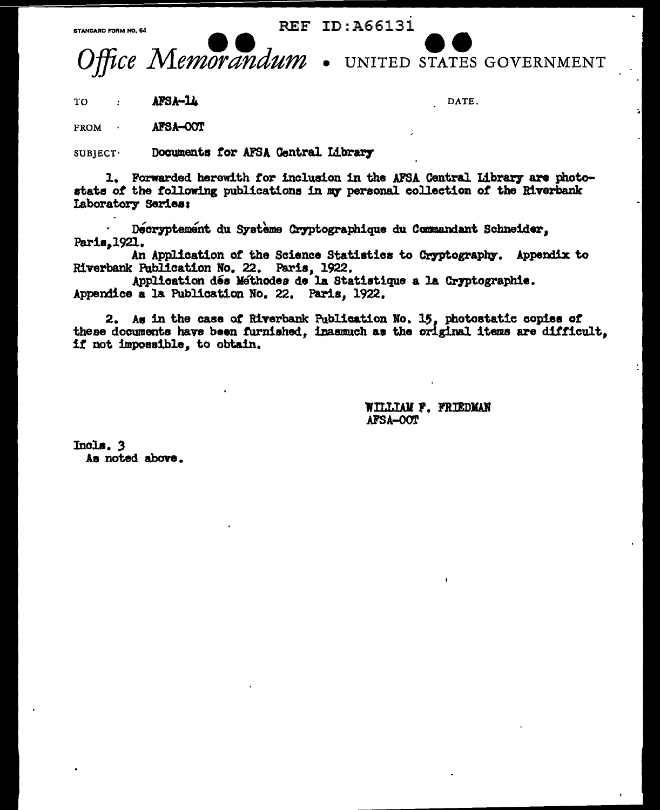STANDARD FORM NO. 64

**REF ID: A66131** 



UNITED STATES GOVERNMENT

AFSA-14 TO  $\cdot$ 

DATE.

AFSA-OOT **FROM** 

Documents for AFSA Central Library  $SUB$  JECT $\cdot$ 

1. Forwarded herewith for inclusion in the AFSA Central Library are photostats of the following publications in my personal collection of the Riverbank Laboratory Series:

Decryptement du Système Cryptographique du Commandant Schneider, Paris, 1921.

An Application of the Science Statistics to Cryptography. Appendix to Riverbank Publication No. 22. Paris, 1922.

Application dés Méthodes de la Statistique a la Cryptographie. Appendice a la Publication No. 22. Paris, 1922.

2. As in the case of Riverbank Publication No. 15, photostatic copies of these documents have been furnished, inasmuch as the original items are difficult. if not impossible, to obtain.

> WILLIAM F. FRIEDMAN AFSA-OOT

Incls. 3 As noted above.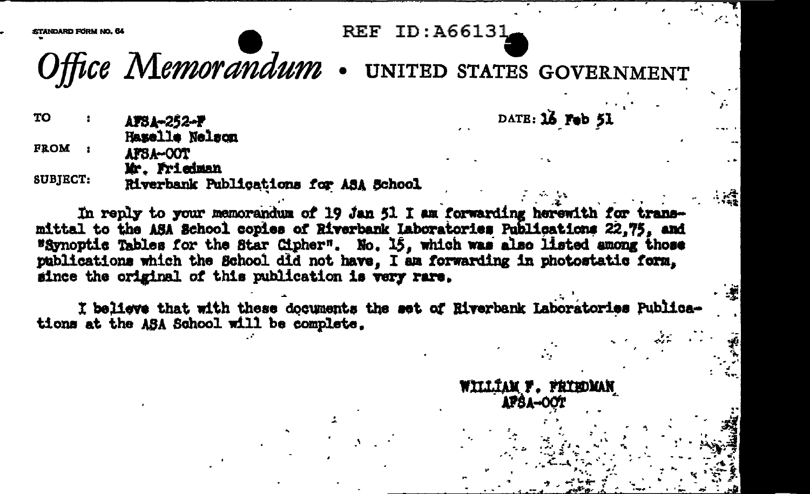**REF ID: A66131** 

DATE: 16 Feb 51

WILLIAM F. FRIEDMAN **APSA-OOT** 

TANDARD EDDM NO. 64

Office Memorandum . UNITED STATES GOVERNMENT

TO. AFSA-252-F Hazelle Nelson FROM : AFSA-COT Mr. Friedman

**SUBJECT:** Riverbank Publications for ASA School

In reply to your memorandum of 19 Jan 51 I am forwarding herewith for transmittal to the ASA School copies of Riverbank Laboratories Publications 22.75, and "Synoptic Tables for the Star Cipher". No. 15, which was also listed among those publications which the School did not have. I am forwarding in photostatic form. since the original of this publication is very rare.

I believe that with these documents the set of Riverbank Laboratories Publications at the ASA School will be complete.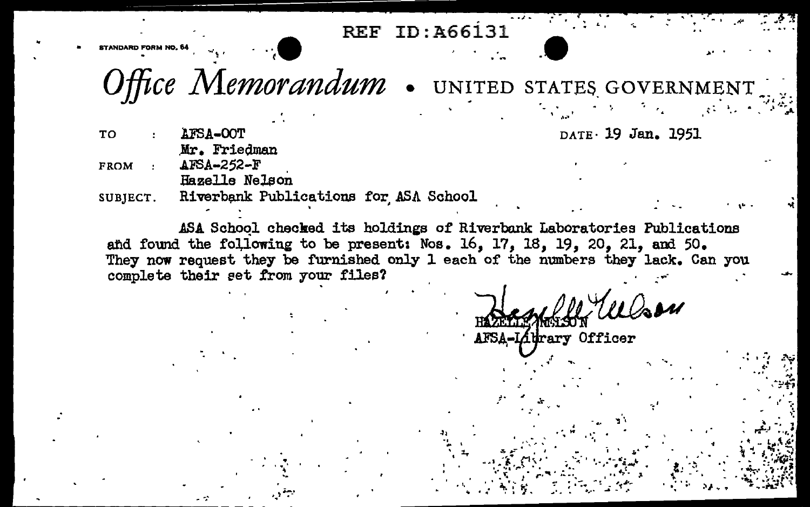**REF ID: A66131** 

Office Memorandum . UNITED STATES GOVERNMENT

DATE 19 Jan. 1951

**TO** AFSA-OOT Mr. Friedman AFSA-252-F **FROM** Hazelle Nelson

Riverbank Publications for ASA School SUBJECT.

ASA School checked its holdings of Riverbank Laboratories Publications and found the following to be present: Nos. 16, 17, 18, 19, 20, 21, and 50. They now request they be furnished only 1 each of the numbers they lack. Can you complete their set from your files?

 $0$ aru AFSA-Lidrary Officer